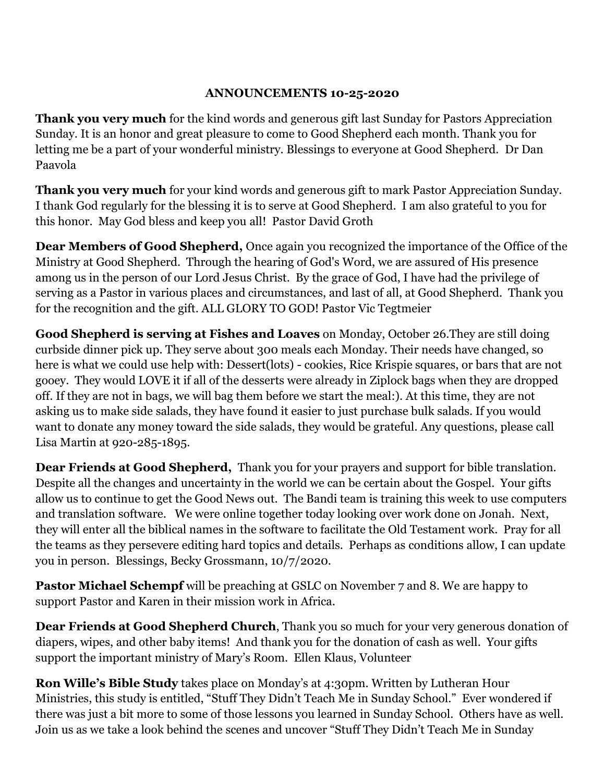## **ANNOUNCEMENTS 10-25-2020**

**Thank you very much** for the kind words and generous gift last Sunday for Pastors Appreciation Sunday. It is an honor and great pleasure to come to Good Shepherd each month. Thank you for letting me be a part of your wonderful ministry. Blessings to everyone at Good Shepherd. Dr Dan Paavola

**Thank you very much** for your kind words and generous gift to mark Pastor Appreciation Sunday. I thank God regularly for the blessing it is to serve at Good Shepherd. I am also grateful to you for this honor. May God bless and keep you all! Pastor David Groth

**Dear Members of Good Shepherd,** Once again you recognized the importance of the Office of the Ministry at Good Shepherd. Through the hearing of God's Word, we are assured of His presence among us in the person of our Lord Jesus Christ. By the grace of God, I have had the privilege of serving as a Pastor in various places and circumstances, and last of all, at Good Shepherd. Thank you for the recognition and the gift. ALL GLORY TO GOD! Pastor Vic Tegtmeier

**Good Shepherd is serving at Fishes and Loaves** on Monday, October 26.They are still doing curbside dinner pick up. They serve about 300 meals each Monday. Their needs have changed, so here is what we could use help with: Dessert(lots) - cookies, Rice Krispie squares, or bars that are not gooey. They would LOVE it if all of the desserts were already in Ziplock bags when they are dropped off. If they are not in bags, we will bag them before we start the meal:). At this time, they are not asking us to make side salads, they have found it easier to just purchase bulk salads. If you would want to donate any money toward the side salads, they would be grateful. Any questions, please call Lisa Martin at 920-285-1895.

**Dear Friends at Good Shepherd,** Thank you for your prayers and support for bible translation. Despite all the changes and uncertainty in the world we can be certain about the Gospel. Your gifts allow us to continue to get the Good News out. The Bandi team is training this week to use computers and translation software. We were online together today looking over work done on Jonah. Next, they will enter all the biblical names in the software to facilitate the Old Testament work. Pray for all the teams as they persevere editing hard topics and details. Perhaps as conditions allow, I can update you in person. Blessings, Becky Grossmann, 10/7/2020.

**Pastor Michael Schempf** will be preaching at GSLC on November 7 and 8. We are happy to support Pastor and Karen in their mission work in Africa.

**Dear Friends at Good Shepherd Church**, Thank you so much for your very generous donation of diapers, wipes, and other baby items! And thank you for the donation of cash as well. Your gifts support the important ministry of Mary's Room. Ellen Klaus, Volunteer

**Ron Wille's Bible Study** takes place on Monday's at 4:30pm. Written by Lutheran Hour Ministries, this study is entitled, "Stuff They Didn't Teach Me in Sunday School." Ever wondered if there was just a bit more to some of those lessons you learned in Sunday School. Others have as well. Join us as we take a look behind the scenes and uncover "Stuff They Didn't Teach Me in Sunday